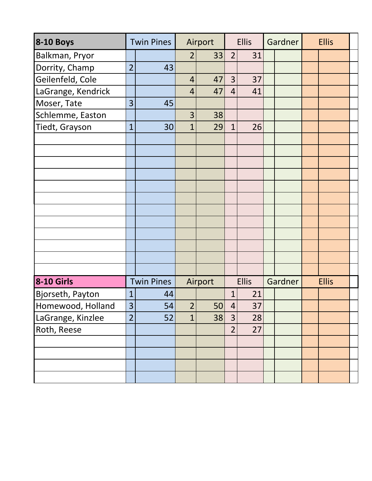| <b>8-10 Boys</b>   |                | <b>Twin Pines</b> | Airport        |         | <b>Ellis</b>   |              | Gardner |         | <b>Ellis</b> |              |  |
|--------------------|----------------|-------------------|----------------|---------|----------------|--------------|---------|---------|--------------|--------------|--|
| Balkman, Pryor     |                |                   | $\overline{2}$ | 33      | $\overline{2}$ | 31           |         |         |              |              |  |
| Dorrity, Champ     | $\overline{2}$ | 43                |                |         |                |              |         |         |              |              |  |
| Geilenfeld, Cole   |                |                   | $\overline{4}$ | 47      | 3              | 37           |         |         |              |              |  |
| LaGrange, Kendrick |                |                   | 4              | 47      | 4              | 41           |         |         |              |              |  |
| Moser, Tate        | 3              | 45                |                |         |                |              |         |         |              |              |  |
| Schlemme, Easton   |                |                   | 3              | 38      |                |              |         |         |              |              |  |
| Tiedt, Grayson     | $\overline{1}$ | 30                | $\overline{1}$ | 29      | $\mathbf 1$    | 26           |         |         |              |              |  |
|                    |                |                   |                |         |                |              |         |         |              |              |  |
|                    |                |                   |                |         |                |              |         |         |              |              |  |
|                    |                |                   |                |         |                |              |         |         |              |              |  |
|                    |                |                   |                |         |                |              |         |         |              |              |  |
|                    |                |                   |                |         |                |              |         |         |              |              |  |
|                    |                |                   |                |         |                |              |         |         |              |              |  |
|                    |                |                   |                |         |                |              |         |         |              |              |  |
|                    |                |                   |                |         |                |              |         |         |              |              |  |
|                    |                |                   |                |         |                |              |         |         |              |              |  |
|                    |                |                   |                |         |                |              |         |         |              |              |  |
|                    |                |                   |                |         |                |              |         |         |              |              |  |
|                    |                |                   |                |         |                |              |         |         |              |              |  |
| <b>8-10 Girls</b>  |                | <b>Twin Pines</b> |                | Airport |                | <b>Ellis</b> |         | Gardner |              | <b>Ellis</b> |  |
| Bjorseth, Payton   | $\mathbf{1}$   | 44                |                |         | 1              | 21           |         |         |              |              |  |
| Homewood, Holland  | 3 <sup>1</sup> | 54                | 2              | 50      | 4              | 37           |         |         |              |              |  |
| LaGrange, Kinzlee  | $\overline{2}$ | 52                | $\mathbf{1}$   | 38      | 3              | 28           |         |         |              |              |  |
| Roth, Reese        |                |                   |                |         | $\overline{2}$ | 27           |         |         |              |              |  |
|                    |                |                   |                |         |                |              |         |         |              |              |  |
|                    |                |                   |                |         |                |              |         |         |              |              |  |
|                    |                |                   |                |         |                |              |         |         |              |              |  |
|                    |                |                   |                |         |                |              |         |         |              |              |  |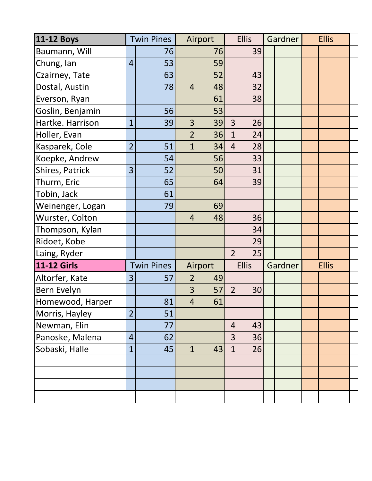| <b>11-12 Boys</b>  |                | <b>Twin Pines</b> | Airport        |         | <b>Ellis</b>   |              | Gardner |  | <b>Ellis</b> |  |  |
|--------------------|----------------|-------------------|----------------|---------|----------------|--------------|---------|--|--------------|--|--|
| Baumann, Will      |                | 76                |                | 76      |                | 39           |         |  |              |  |  |
| Chung, Ian         | 4              | 53                |                | 59      |                |              |         |  |              |  |  |
| Czairney, Tate     |                | 63                |                | 52      |                | 43           |         |  |              |  |  |
| Dostal, Austin     |                | 78                | $\overline{4}$ | 48      |                | 32           |         |  |              |  |  |
| Everson, Ryan      |                |                   |                | 61      |                | 38           |         |  |              |  |  |
| Goslin, Benjamin   |                | 56                |                | 53      |                |              |         |  |              |  |  |
| Hartke. Harrison   | $\overline{1}$ | 39                | 3              | 39      | $\overline{3}$ | 26           |         |  |              |  |  |
| Holler, Evan       |                |                   | $\overline{2}$ | 36      | $\overline{1}$ | 24           |         |  |              |  |  |
| Kasparek, Cole     | $\overline{2}$ | 51                | $\overline{1}$ | 34      | $\overline{4}$ | 28           |         |  |              |  |  |
| Koepke, Andrew     |                | 54                |                | 56      |                | 33           |         |  |              |  |  |
| Shires, Patrick    | $\overline{3}$ | 52                |                | 50      |                | 31           |         |  |              |  |  |
| Thurm, Eric        |                | 65                |                | 64      |                | 39           |         |  |              |  |  |
| Tobin, Jack        |                | 61                |                |         |                |              |         |  |              |  |  |
| Weinenger, Logan   |                | 79                |                | 69      |                |              |         |  |              |  |  |
| Wurster, Colton    |                |                   | $\overline{4}$ | 48      |                | 36           |         |  |              |  |  |
| Thompson, Kylan    |                |                   |                |         |                | 34           |         |  |              |  |  |
| Ridoet, Kobe       |                |                   |                |         |                | 29           |         |  |              |  |  |
| Laing, Ryder       |                |                   |                |         | $\overline{2}$ | 25           |         |  |              |  |  |
| <b>11-12 Girls</b> |                | <b>Twin Pines</b> |                | Airport |                | <b>Ellis</b> | Gardner |  | <b>Ellis</b> |  |  |
| Altorfer, Kate     | $\overline{3}$ | 57                | 2              | 49      |                |              |         |  |              |  |  |
| Bern Evelyn        |                |                   | $\overline{3}$ | 57      | $\overline{2}$ | 30           |         |  |              |  |  |
| Homewood, Harper   |                | 81                | $\overline{4}$ | 61      |                |              |         |  |              |  |  |
| Morris, Hayley     | $\overline{2}$ | 51                |                |         |                |              |         |  |              |  |  |
| Newman, Elin       |                | 77                |                |         | $\overline{4}$ | 43           |         |  |              |  |  |
| Panoske, Malena    | $\overline{4}$ | 62                |                |         | 3              | 36           |         |  |              |  |  |
| Sobaski, Halle     | $\overline{1}$ | 45                | $\mathbf{1}$   | 43      | $\overline{1}$ | 26           |         |  |              |  |  |
|                    |                |                   |                |         |                |              |         |  |              |  |  |
|                    |                |                   |                |         |                |              |         |  |              |  |  |
|                    |                |                   |                |         |                |              |         |  |              |  |  |
|                    |                |                   |                |         |                |              |         |  |              |  |  |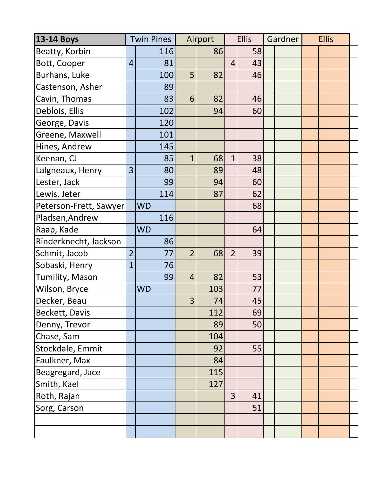| <b>13-14 Boys</b>      |                | <b>Twin Pines</b> | Airport        |     | <b>Ellis</b>   |    | Gardner |  | <b>Ellis</b> |  |  |
|------------------------|----------------|-------------------|----------------|-----|----------------|----|---------|--|--------------|--|--|
| Beatty, Korbin         |                | 116               |                | 86  |                | 58 |         |  |              |  |  |
| Bott, Cooper           | $\overline{4}$ | 81                |                |     | $\overline{4}$ | 43 |         |  |              |  |  |
| Burhans, Luke          |                | 100               | 5              | 82  |                | 46 |         |  |              |  |  |
| Castenson, Asher       |                | 89                |                |     |                |    |         |  |              |  |  |
| Cavin, Thomas          |                | 83                | 6              | 82  |                | 46 |         |  |              |  |  |
| Deblois, Ellis         |                | 102               |                | 94  |                | 60 |         |  |              |  |  |
| George, Davis          |                | 120               |                |     |                |    |         |  |              |  |  |
| Greene, Maxwell        |                | 101               |                |     |                |    |         |  |              |  |  |
| Hines, Andrew          |                | 145               |                |     |                |    |         |  |              |  |  |
| Keenan, CJ             |                | 85                | $\overline{1}$ | 68  | $\overline{1}$ | 38 |         |  |              |  |  |
| Lalgneaux, Henry       | 3              | 80                |                | 89  |                | 48 |         |  |              |  |  |
| Lester, Jack           |                | 99                |                | 94  |                | 60 |         |  |              |  |  |
| Lewis, Jeter           |                | 114               |                | 87  |                | 62 |         |  |              |  |  |
| Peterson-Frett, Sawyer |                | <b>WD</b>         |                |     |                | 68 |         |  |              |  |  |
| Pladsen, Andrew        |                | 116               |                |     |                |    |         |  |              |  |  |
| Raap, Kade             |                | <b>WD</b>         |                |     |                | 64 |         |  |              |  |  |
| Rinderknecht, Jackson  |                | 86                |                |     |                |    |         |  |              |  |  |
| Schmit, Jacob          | $\overline{2}$ | 77                | $\overline{2}$ | 68  | $\overline{2}$ | 39 |         |  |              |  |  |
| Sobaski, Henry         | $\overline{1}$ | 76                |                |     |                |    |         |  |              |  |  |
| Tumility, Mason        |                | 99                | $\overline{4}$ | 82  |                | 53 |         |  |              |  |  |
| Wilson, Bryce          |                | <b>WD</b>         |                | 103 |                | 77 |         |  |              |  |  |
| Decker, Beau           |                |                   | 3              | 74  |                | 45 |         |  |              |  |  |
| Beckett, Davis         |                |                   |                | 112 |                | 69 |         |  |              |  |  |
| Denny, Trevor          |                |                   |                | 89  |                | 50 |         |  |              |  |  |
| Chase, Sam             |                |                   |                | 104 |                |    |         |  |              |  |  |
| Stockdale, Emmit       |                |                   |                | 92  |                | 55 |         |  |              |  |  |
| Faulkner, Max          |                |                   |                | 84  |                |    |         |  |              |  |  |
| Beagregard, Jace       |                |                   |                | 115 |                |    |         |  |              |  |  |
| Smith, Kael            |                |                   |                | 127 |                |    |         |  |              |  |  |
| Roth, Rajan            |                |                   |                |     | $\overline{3}$ | 41 |         |  |              |  |  |
| Sorg, Carson           |                |                   |                |     |                | 51 |         |  |              |  |  |
|                        |                |                   |                |     |                |    |         |  |              |  |  |
|                        |                |                   |                |     |                |    |         |  |              |  |  |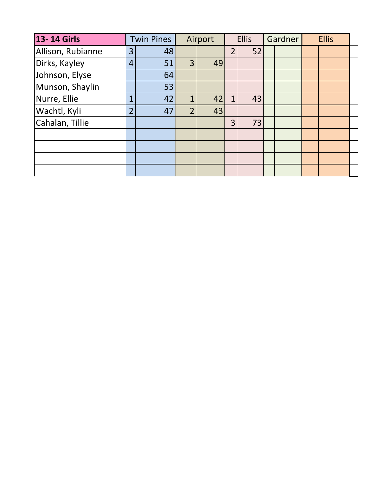| 13-14 Girls       |                | <b>Twin Pines</b> |                | Airport | <b>Ellis</b>   |    | Gardner |  | <b>Ellis</b> |  |  |
|-------------------|----------------|-------------------|----------------|---------|----------------|----|---------|--|--------------|--|--|
| Allison, Rubianne | 3 <sup>1</sup> | 48                |                |         | $\overline{2}$ | 52 |         |  |              |  |  |
| Dirks, Kayley     | $\overline{4}$ | 51                | 3              | 49      |                |    |         |  |              |  |  |
| Johnson, Elyse    |                | 64                |                |         |                |    |         |  |              |  |  |
| Munson, Shaylin   |                | 53                |                |         |                |    |         |  |              |  |  |
| Nurre, Ellie      | 1              | 42                | $\overline{1}$ | 42      | 1              | 43 |         |  |              |  |  |
| Wachtl, Kyli      | 2 <sub>1</sub> | 47                | $\overline{2}$ | 43      |                |    |         |  |              |  |  |
| Cahalan, Tillie   |                |                   |                |         | 3              | 73 |         |  |              |  |  |
|                   |                |                   |                |         |                |    |         |  |              |  |  |
|                   |                |                   |                |         |                |    |         |  |              |  |  |
|                   |                |                   |                |         |                |    |         |  |              |  |  |
|                   |                |                   |                |         |                |    |         |  |              |  |  |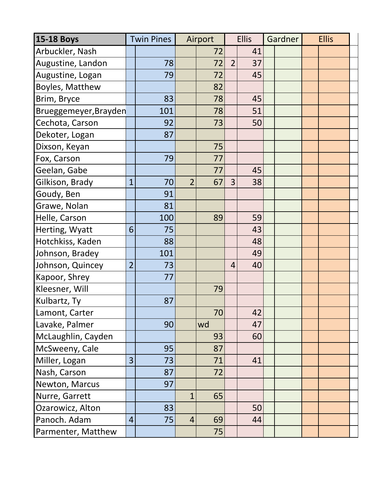| <b>15-18 Boys</b>      |                | <b>Twin Pines</b> |                | Airport | <b>Ellis</b>   |    | Gardner |  | <b>Ellis</b> |  |  |
|------------------------|----------------|-------------------|----------------|---------|----------------|----|---------|--|--------------|--|--|
| Arbuckler, Nash        |                |                   |                | 72      |                | 41 |         |  |              |  |  |
| Augustine, Landon      |                | 78                |                | 72      | $\overline{2}$ | 37 |         |  |              |  |  |
| Augustine, Logan       |                | 79                |                | 72      |                | 45 |         |  |              |  |  |
| <b>Boyles, Matthew</b> |                |                   |                | 82      |                |    |         |  |              |  |  |
| Brim, Bryce            |                | 83                |                | 78      |                | 45 |         |  |              |  |  |
| Brueggemeyer, Brayden  |                | 101               |                | 78      |                | 51 |         |  |              |  |  |
| Cechota, Carson        |                | 92                |                | 73      |                | 50 |         |  |              |  |  |
| Dekoter, Logan         |                | 87                |                |         |                |    |         |  |              |  |  |
| Dixson, Keyan          |                |                   |                | 75      |                |    |         |  |              |  |  |
| Fox, Carson            |                | 79                |                | 77      |                |    |         |  |              |  |  |
| Geelan, Gabe           |                |                   |                | 77      |                | 45 |         |  |              |  |  |
| Gilkison, Brady        | $\overline{1}$ | 70                | $\overline{2}$ | 67      | 3              | 38 |         |  |              |  |  |
| Goudy, Ben             |                | 91                |                |         |                |    |         |  |              |  |  |
| Grawe, Nolan           |                | 81                |                |         |                |    |         |  |              |  |  |
| Helle, Carson          |                | 100               |                | 89      |                | 59 |         |  |              |  |  |
| Herting, Wyatt         | 6              | 75                |                |         |                | 43 |         |  |              |  |  |
| Hotchkiss, Kaden       |                | 88                |                |         |                | 48 |         |  |              |  |  |
| Johnson, Bradey        |                | 101               |                |         |                | 49 |         |  |              |  |  |
| Johnson, Quincey       | $\overline{2}$ | 73                |                |         | $\overline{4}$ | 40 |         |  |              |  |  |
| Kapoor, Shrey          |                | 77                |                |         |                |    |         |  |              |  |  |
| Kleesner, Will         |                |                   |                | 79      |                |    |         |  |              |  |  |
| Kulbartz, Ty           |                | 87                |                |         |                |    |         |  |              |  |  |
| Lamont, Carter         |                |                   |                | 70      |                | 42 |         |  |              |  |  |
| Lavake, Palmer         |                | 90                |                | wd      |                | 47 |         |  |              |  |  |
| McLaughlin, Cayden     |                |                   |                | 93      |                | 60 |         |  |              |  |  |
| McSweeny, Cale         |                | 95                |                | 87      |                |    |         |  |              |  |  |
| Miller, Logan          | 3              | 73                |                | 71      |                | 41 |         |  |              |  |  |
| Nash, Carson           |                | 87                |                | 72      |                |    |         |  |              |  |  |
| Newton, Marcus         |                | 97                |                |         |                |    |         |  |              |  |  |
| Nurre, Garrett         |                |                   | $\mathbf{1}$   | 65      |                |    |         |  |              |  |  |
| Ozarowicz, Alton       |                | 83                |                |         |                | 50 |         |  |              |  |  |
| Panoch. Adam           | $\overline{4}$ | 75                | $\overline{4}$ | 69      |                | 44 |         |  |              |  |  |
| Parmenter, Matthew     |                |                   |                | 75      |                |    |         |  |              |  |  |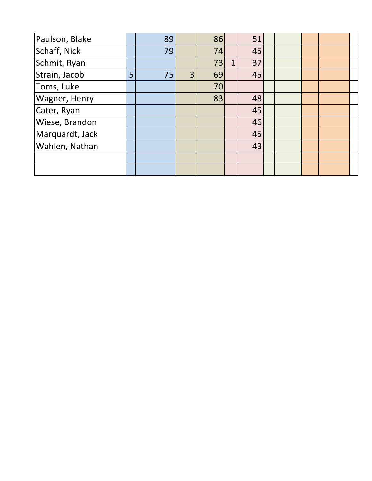| Paulson, Blake       |   | 89 |                | 86 | 51 |  |  |  |
|----------------------|---|----|----------------|----|----|--|--|--|
| Schaff, Nick         |   | 79 |                | 74 | 45 |  |  |  |
| Schmit, Ryan         |   |    |                | 73 | 37 |  |  |  |
| Strain, Jacob        | 5 | 75 | $\overline{3}$ | 69 | 45 |  |  |  |
| Toms, Luke           |   |    |                | 70 |    |  |  |  |
| <b>Wagner, Henry</b> |   |    |                | 83 | 48 |  |  |  |
| Cater, Ryan          |   |    |                |    | 45 |  |  |  |
| Wiese, Brandon       |   |    |                |    | 46 |  |  |  |
| Marquardt, Jack      |   |    |                |    | 45 |  |  |  |
| Wahlen, Nathan       |   |    |                |    | 43 |  |  |  |
|                      |   |    |                |    |    |  |  |  |
|                      |   |    |                |    |    |  |  |  |